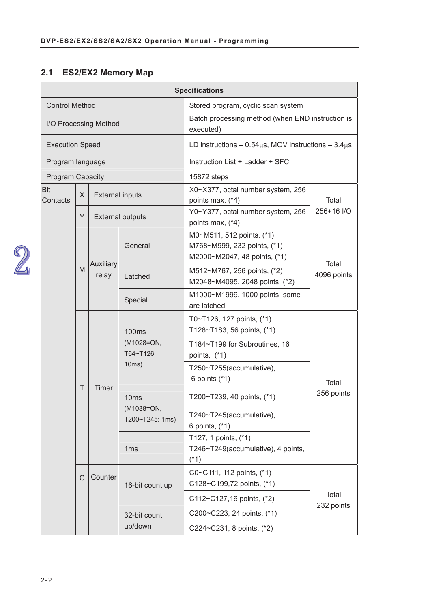## **2.1 ES2/EX2 Memory Map**

|                         |   |                        |                                                                      | <b>Specifications</b>                                                                    |                     |  |
|-------------------------|---|------------------------|----------------------------------------------------------------------|------------------------------------------------------------------------------------------|---------------------|--|
| <b>Control Method</b>   |   |                        |                                                                      | Stored program, cyclic scan system                                                       |                     |  |
|                         |   | I/O Processing Method  |                                                                      | Batch processing method (when END instruction is<br>executed)                            |                     |  |
| <b>Execution Speed</b>  |   |                        |                                                                      | LD instructions $-0.54\mu s$ , MOV instructions $-3.4\mu s$                              |                     |  |
| Program language        |   |                        |                                                                      | Instruction List + Ladder + SFC                                                          |                     |  |
| <b>Program Capacity</b> |   |                        |                                                                      | 15872 steps                                                                              |                     |  |
| <b>Bit</b><br>Contacts  | X | <b>External inputs</b> |                                                                      | X0~X377, octal number system, 256<br>points max, (*4)                                    | Total               |  |
|                         | Y |                        | <b>External outputs</b>                                              | Y0~Y377, octal number system, 256<br>points max, (*4)                                    | 256+16 I/O          |  |
|                         |   |                        | General                                                              | M0~M511, 512 points, (*1)<br>M768~M999, 232 points, (*1)<br>M2000~M2047, 48 points, (*1) | Total               |  |
|                         | M | Auxiliary<br>relay     | Latched                                                              | M512~M767, 256 points, (*2)<br>M2048~M4095, 2048 points, (*2)                            | 4096 points         |  |
|                         |   |                        | Special                                                              | M1000~M1999, 1000 points, some<br>are latched                                            |                     |  |
|                         |   |                        | <b>100ms</b><br>(M1028=ON,<br>T64~T126:<br>10ms)<br>10 <sub>ms</sub> | T0~T126, 127 points, (*1)<br>T128~T183, 56 points, (*1)                                  |                     |  |
|                         |   |                        |                                                                      | T184~T199 for Subroutines, 16<br>points, (*1)                                            | Total<br>256 points |  |
|                         |   |                        |                                                                      | T250~T255(accumulative),<br>6 points $(*1)$                                              |                     |  |
|                         | T | Timer                  |                                                                      | T200~T239, 40 points, (*1)                                                               |                     |  |
|                         |   |                        | (M1038=ON,<br>T200~T245: 1ms)                                        | T240~T245(accumulative),<br>6 points, (*1)                                               |                     |  |
|                         |   |                        | 1 <sub>ms</sub>                                                      | T127, 1 points, (*1)<br>T246~T249(accumulative), 4 points,<br>$(*1)$                     |                     |  |
|                         | C | Counter                | 16-bit count up                                                      | C0~C111, 112 points, (*1)<br>C128~C199,72 points, (*1)                                   |                     |  |
|                         |   |                        |                                                                      | C112~C127,16 points, (*2)                                                                | Total<br>232 points |  |
|                         |   |                        | 32-bit count                                                         | C200~C223, 24 points, (*1)                                                               |                     |  |
|                         |   |                        | up/down                                                              | C224~C231, 8 points, (*2)                                                                |                     |  |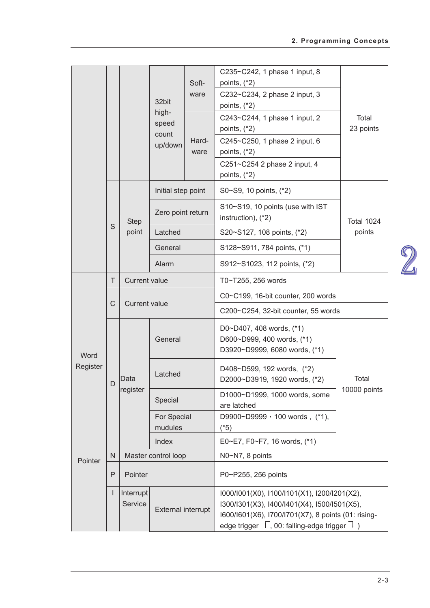|          |              |                      |                           |                     | C235~C242, 1 phase 1 input, 8                                                                       |              |
|----------|--------------|----------------------|---------------------------|---------------------|-----------------------------------------------------------------------------------------------------|--------------|
|          |              |                      |                           | Soft-<br>ware       | points, $(*2)$<br>C232~C234, 2 phase 2 input, 3                                                     |              |
|          |              |                      | 32bit                     |                     | points, $(*2)$                                                                                      |              |
|          |              |                      | high-<br>speed            |                     | C243~C244, 1 phase 1 input, 2                                                                       | Total        |
|          |              |                      | count                     |                     | points, $(*2)$                                                                                      | 23 points    |
|          |              |                      | up/down                   | Hard-<br>ware       | C245~C250, 1 phase 2 input, 6<br>points, $(*2)$                                                     |              |
|          |              |                      |                           |                     | C251~C254 2 phase 2 input, 4                                                                        |              |
|          |              |                      |                           |                     | points, $(*2)$                                                                                      |              |
|          |              |                      | Initial step point        |                     | S0~S9, 10 points, (*2)                                                                              |              |
|          |              | <b>Step</b>          | Zero point return         |                     | S10~S19, 10 points (use with IST<br>instruction), (*2)                                              | Total 1024   |
|          | S            | point                | Latched                   |                     | S20~S127, 108 points, (*2)                                                                          | points       |
|          |              |                      | General                   |                     | S128~S911, 784 points, (*1)                                                                         |              |
|          |              |                      | Alarm                     |                     | S912~S1023, 112 points, (*2)                                                                        |              |
|          | T.           | <b>Current value</b> |                           |                     | T0~T255, 256 words                                                                                  |              |
|          | $\mathsf C$  | <b>Current value</b> |                           |                     | C0~C199, 16-bit counter, 200 words                                                                  |              |
|          |              |                      |                           |                     | C200~C254, 32-bit counter, 55 words                                                                 |              |
|          |              |                      |                           |                     | D0~D407, 408 words, (*1)                                                                            |              |
| Word     |              |                      | General                   |                     | D600~D999, 400 words, (*1)<br>D3920~D9999, 6080 words, (*1)                                         |              |
| Register |              |                      |                           |                     | D408~D599, 192 words, (*2)                                                                          |              |
|          | D            | Data                 | Latched                   |                     | D2000~D3919, 1920 words, (*2)                                                                       | Total        |
|          |              |                      | register<br>Special       |                     | D1000~D1999, 1000 words, some<br>are latched                                                        | 10000 points |
|          |              |                      | For Special               |                     | D9900~D9999 , 100 words, (*1),                                                                      |              |
|          |              |                      | mudules<br>Index          |                     | $(*5)$<br>E0~E7, F0~F7, 16 words, (*1)                                                              |              |
|          | $\mathsf{N}$ |                      | Master control loop       |                     | N0~N7, 8 points                                                                                     |              |
| Pointer  |              |                      |                           |                     |                                                                                                     |              |
|          | P<br>Pointer |                      |                           | P0~P255, 256 points |                                                                                                     |              |
|          | L            | Interrupt            |                           |                     | I000/I001(X0), I100/I101(X1), I200/I201(X2),                                                        |              |
|          |              | Service              | <b>External interrupt</b> |                     | I300/I301(X3), I400/I401(X4), I500/I501(X5),<br>I600/I601(X6), I700/I701(X7), 8 points (01: rising- |              |
|          |              |                      |                           |                     | edge trigger $\Box$ , 00: falling-edge trigger $\Box$ )                                             |              |
|          |              |                      |                           |                     |                                                                                                     |              |

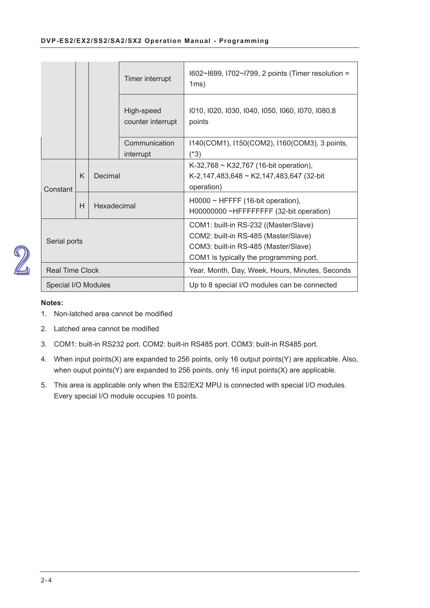|                        |   |             | Timer interrupt                 | I602~I699, I702~I799, 2 points (Timer resolution =<br>1ms)                                                                                                       |
|------------------------|---|-------------|---------------------------------|------------------------------------------------------------------------------------------------------------------------------------------------------------------|
|                        |   |             | High-speed<br>counter interrupt | 1010, 1020, 1030, 1040, 1050, 1060, 1070, 1080,8<br>points                                                                                                       |
|                        |   |             | Communication<br>interrupt      | 1140(COM1), 1150(COM2), 1160(COM3), 3 points,<br>$(*3)$                                                                                                          |
| Constant               | K | Decimal     |                                 | K-32,768 ~ K32,767 (16-bit operation),<br>K-2,147,483,648 ~ K2,147,483,647 (32-bit<br>operation)                                                                 |
|                        | H | Hexadecimal |                                 | $H0000 \sim HFFFF$ (16-bit operation),<br>H00000000 ~HFFFFFFFF (32-bit operation)                                                                                |
| Serial ports           |   |             |                                 | COM1: built-in RS-232 ((Master/Slave)<br>COM2: built-in RS-485 (Master/Slave)<br>COM3: built-in RS-485 (Master/Slave)<br>COM1 is typically the programming port. |
| <b>Real Time Clock</b> |   |             |                                 | Year, Month, Day, Week, Hours, Minutes, Seconds                                                                                                                  |
| Special I/O Modules    |   |             |                                 | Up to 8 special I/O modules can be connected                                                                                                                     |

# 

- 1. Non-latched area cannot be modified
- Latched area cannot be modified
- COM1: built-in RS232 port. COM2: built-in RS485 port. COM3: built-in RS485 port.
- When input points(X) are expanded to 256 points, only 16 output points(Y) are applicable. Also, when ouput points(Y) are expanded to 256 points, only 16 input points(X) are applicable.
- This area is applicable only when the ES2/EX2 MPU is connected with special I/O modules. Every special I/O module occupies 10 points.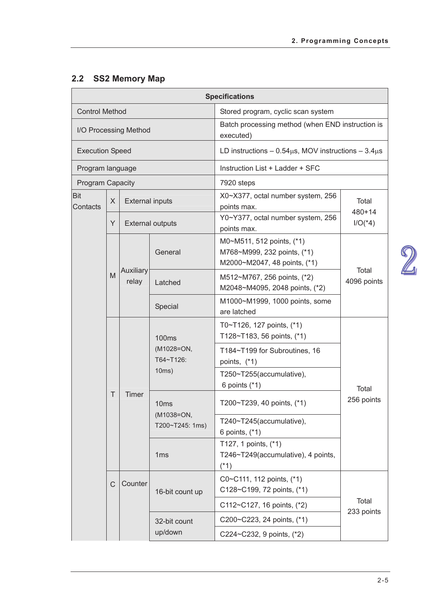## **2.2 SS2 Memory Map**

|                         |   |                        |                                                  | <b>Specifications</b>                                                                    |                      |  |
|-------------------------|---|------------------------|--------------------------------------------------|------------------------------------------------------------------------------------------|----------------------|--|
| <b>Control Method</b>   |   |                        |                                                  | Stored program, cyclic scan system                                                       |                      |  |
|                         |   | I/O Processing Method  |                                                  | Batch processing method (when END instruction is<br>executed)                            |                      |  |
| <b>Execution Speed</b>  |   |                        |                                                  | LD instructions $-0.54\mu s$ , MOV instructions $-3.4\mu s$                              |                      |  |
| Program language        |   |                        |                                                  | Instruction List + Ladder + SFC                                                          |                      |  |
| <b>Program Capacity</b> |   |                        |                                                  | 7920 steps                                                                               |                      |  |
| <b>Bit</b><br>Contacts  | X | <b>External inputs</b> |                                                  | X0~X377, octal number system, 256<br>points max.                                         | Total<br>$480 + 14$  |  |
|                         | Y |                        | <b>External outputs</b>                          | Y0~Y377, octal number system, 256<br>points max.                                         | $I/O(*4)$            |  |
|                         |   |                        | General                                          | M0~M511, 512 points, (*1)<br>M768~M999, 232 points, (*1)<br>M2000~M2047, 48 points, (*1) |                      |  |
|                         | M | Auxiliary<br>relay     | Latched                                          | M512~M767, 256 points, (*2)<br>M2048~M4095, 2048 points, (*2)                            | Total<br>4096 points |  |
|                         |   |                        | Special                                          | M1000~M1999, 1000 points, some<br>are latched                                            |                      |  |
|                         |   |                        | <b>100ms</b><br>(M1028=ON,<br>T64~T126:<br>10ms) | T0~T126, 127 points, (*1)<br>T128~T183, 56 points, (*1)                                  |                      |  |
|                         |   |                        |                                                  | T184~T199 for Subroutines, 16<br>points, (*1)                                            | Total                |  |
|                         |   |                        |                                                  | T250~T255(accumulative),<br>6 points $(*1)$                                              |                      |  |
|                         | Τ | Timer                  | 10 <sub>ms</sub>                                 | T200~T239, 40 points, (*1)                                                               | 256 points           |  |
|                         |   |                        | (M1038=ON,<br>T200~T245: 1ms)                    | T240~T245(accumulative),<br>6 points, (*1)                                               |                      |  |
|                         |   |                        | 1 <sub>ms</sub>                                  | T127, 1 points, (*1)<br>T246~T249(accumulative), 4 points,<br>$(*1)$                     |                      |  |
|                         | C | Counter                | 16-bit count up                                  | C0~C111, 112 points, (*1)<br>C128~C199, 72 points, (*1)                                  |                      |  |
|                         |   |                        |                                                  | C112~C127, 16 points, (*2)                                                               | Total<br>233 points  |  |
|                         |   |                        | 32-bit count                                     | C200~C223, 24 points, (*1)                                                               |                      |  |
|                         |   |                        | up/down                                          | C224~C232, 9 points, (*2)                                                                |                      |  |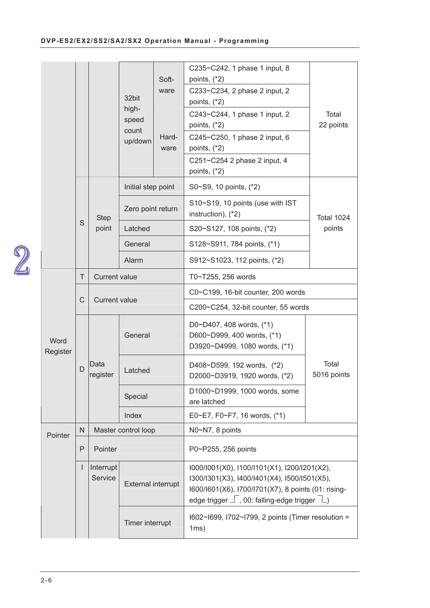|                  |              |                      |                           |               | C235~C242, 1 phase 1 input, 8                                                                                                                                                                                  |                      |  |
|------------------|--------------|----------------------|---------------------------|---------------|----------------------------------------------------------------------------------------------------------------------------------------------------------------------------------------------------------------|----------------------|--|
|                  |              |                      |                           | Soft-<br>ware | points, $(*2)$<br>C233~C234, 2 phase 2 input, 2                                                                                                                                                                |                      |  |
|                  |              |                      | 32bit                     |               | points, $(*2)$                                                                                                                                                                                                 |                      |  |
|                  |              |                      | high-                     |               | C243~C244, 1 phase 1 input, 2                                                                                                                                                                                  | Total                |  |
|                  |              |                      | speed<br>count            |               | points, $(*2)$                                                                                                                                                                                                 | 22 points            |  |
|                  |              |                      | up/down                   | Hard-         | C245~C250, 1 phase 2 input, 6                                                                                                                                                                                  |                      |  |
|                  |              |                      |                           | ware          | points, $(*2)$<br>C251~C254 2 phase 2 input, 4                                                                                                                                                                 |                      |  |
|                  |              |                      |                           |               | points, $(*2)$                                                                                                                                                                                                 |                      |  |
|                  |              |                      | Initial step point        |               | S0~S9, 10 points, (*2)                                                                                                                                                                                         |                      |  |
|                  |              | <b>Step</b>          | Zero point return         |               | S10~S19, 10 points (use with IST<br>instruction), (*2)                                                                                                                                                         | <b>Total 1024</b>    |  |
|                  | S            | point                | Latched                   |               | S20~S127, 108 points, (*2)                                                                                                                                                                                     | points               |  |
|                  |              |                      | General                   |               | S128~S911, 784 points, (*1)                                                                                                                                                                                    |                      |  |
|                  |              |                      | Alarm                     |               | S912~S1023, 112 points, (*2)                                                                                                                                                                                   |                      |  |
|                  | T            | <b>Current value</b> |                           |               | T0~T255, 256 words                                                                                                                                                                                             |                      |  |
|                  | $\mathsf C$  | <b>Current value</b> |                           |               | C0~C199, 16-bit counter, 200 words                                                                                                                                                                             |                      |  |
|                  |              |                      |                           |               | C200~C254, 32-bit counter, 55 words                                                                                                                                                                            |                      |  |
| Word<br>Register |              |                      | General                   |               | D0~D407, 408 words, (*1)<br>D600~D999, 400 words, (*1)<br>D3920~D4999, 1080 words, (*1)                                                                                                                        |                      |  |
|                  | D            | Data<br>register     | Latched                   |               | D408~D599, 192 words, (*2)<br>D2000~D3919, 1920 words, (*2)                                                                                                                                                    | Total<br>5016 points |  |
|                  |              |                      | Special                   |               | D1000~D1999, 1000 words, some<br>are latched                                                                                                                                                                   |                      |  |
|                  |              |                      | Index                     |               | E0~E7, F0~F7, 16 words, (*1)                                                                                                                                                                                   |                      |  |
| Pointer          | $\mathsf{N}$ |                      | Master control loop       |               | N0~N7, 8 points                                                                                                                                                                                                |                      |  |
|                  | P            | Pointer              |                           |               | P0~P255, 256 points                                                                                                                                                                                            |                      |  |
|                  | L            | Interrupt<br>Service | <b>External interrupt</b> |               | I000/I001(X0), I100/I101(X1), I200/I201(X2),<br>I300/I301(X3), I400/I401(X4), I500/I501(X5),<br>I600/I601(X6), I700/I701(X7), 8 points (01: rising-<br>edge trigger $\Box$ , 00: falling-edge trigger $\Box$ ) |                      |  |
|                  |              |                      | Timer interrupt           |               | I602~I699, I702~I799, 2 points (Timer resolution =<br>1ms)                                                                                                                                                     |                      |  |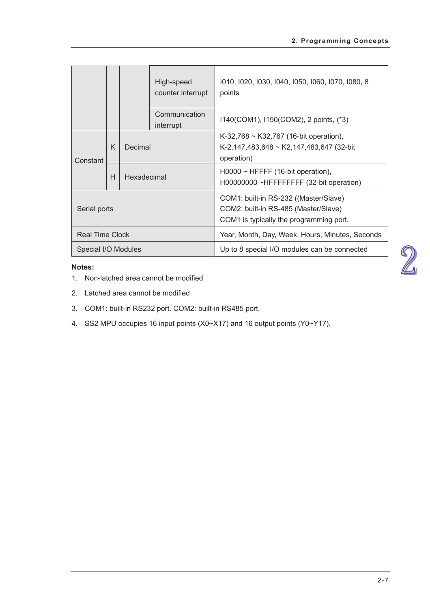|                        |   |             | High-speed<br>counter interrupt | 1010, 1020, 1030, 1040, 1050, 1060, 1070, 1080, 8<br>points                                                              |
|------------------------|---|-------------|---------------------------------|--------------------------------------------------------------------------------------------------------------------------|
|                        |   |             | Communication<br>interrupt      | 1140(COM1), 1150(COM2), 2 points, (*3)                                                                                   |
| Constant               | K | Decimal     |                                 | $K-32,768 \sim K32,767$ (16-bit operation),<br>K-2,147,483,648 ~ K2,147,483,647 (32-bit<br>operation)                    |
|                        | H | Hexadecimal |                                 | $H0000 \sim HFFFF$ (16-bit operation),<br>H00000000 ~HFFFFFFFF (32-bit operation)                                        |
| Serial ports           |   |             |                                 | COM1: built-in RS-232 ((Master/Slave)<br>COM2: built-in RS-485 (Master/Slave)<br>COM1 is typically the programming port. |
| <b>Real Time Clock</b> |   |             |                                 | Year, Month, Day, Week, Hours, Minutes, Seconds                                                                          |
| Special I/O Modules    |   |             |                                 | Up to 8 special I/O modules can be connected                                                                             |

- 1. Non-latched area cannot be modified
- 2. Latched area cannot be modified
- COM1: built-in RS232 port. COM2: built-in RS485 port.
- SS2 MPU occupies 16 input points (X0~X17) and 16 output points (Y0~Y17).

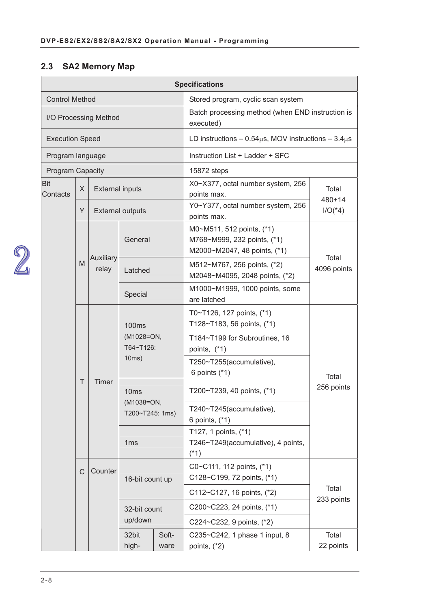## **2.3 SA2 Memory Map**

|                        |   |                        |                               |                                               | <b>Specifications</b>                                                                    |                      |  |
|------------------------|---|------------------------|-------------------------------|-----------------------------------------------|------------------------------------------------------------------------------------------|----------------------|--|
| <b>Control Method</b>  |   |                        |                               |                                               | Stored program, cyclic scan system                                                       |                      |  |
| I/O Processing Method  |   |                        |                               |                                               | Batch processing method (when END instruction is<br>executed)                            |                      |  |
| <b>Execution Speed</b> |   |                        |                               |                                               | LD instructions $-0.54\mu s$ , MOV instructions $-3.4\mu s$                              |                      |  |
| Program language       |   |                        |                               |                                               | Instruction List + Ladder + SFC                                                          |                      |  |
| Program Capacity       |   |                        |                               |                                               | 15872 steps                                                                              |                      |  |
| <b>Bit</b><br>Contacts | X | <b>External inputs</b> |                               |                                               | X0~X377, octal number system, 256<br>points max.                                         | Total<br>$480 + 14$  |  |
|                        | Y |                        | <b>External outputs</b>       |                                               | Y0~Y377, octal number system, 256<br>points max.                                         | $I/O(^*4)$           |  |
|                        |   |                        | General                       |                                               | M0~M511, 512 points, (*1)<br>M768~M999, 232 points, (*1)<br>M2000~M2047, 48 points, (*1) |                      |  |
|                        | M | Auxiliary<br>relay     | Latched                       |                                               | M512~M767, 256 points, (*2)<br>M2048~M4095, 2048 points, (*2)                            | Total<br>4096 points |  |
|                        |   |                        | Special                       |                                               | M1000~M1999, 1000 points, some<br>are latched                                            |                      |  |
|                        |   | Timer                  | <b>100ms</b>                  |                                               | T0~T126, 127 points, (*1)<br>T128~T183, 56 points, (*1)                                  | Total<br>256 points  |  |
|                        |   |                        | (M1028=ON,<br>T64~T126:       | T184~T199 for Subroutines, 16<br>points, (*1) |                                                                                          |                      |  |
|                        |   |                        | 10ms)                         |                                               | T250~T255(accumulative),<br>6 points $(*1)$                                              |                      |  |
|                        | T |                        | 10 <sub>ms</sub>              |                                               | T200~T239, 40 points, (*1)                                                               |                      |  |
|                        |   |                        | (M1038=ON,<br>T200~T245: 1ms) |                                               | T240~T245(accumulative),<br>6 points, (*1)                                               |                      |  |
|                        |   |                        | 1 <sub>ms</sub>               |                                               | T127, 1 points, (*1)<br>T246~T249(accumulative), 4 points,<br>$(*1)$                     |                      |  |
|                        | C | Counter                | 16-bit count up               |                                               | C0~C111, 112 points, (*1)<br>C128~C199, 72 points, (*1)                                  | Total                |  |
|                        |   |                        |                               |                                               | C112~C127, 16 points, (*2)                                                               |                      |  |
|                        |   |                        | 32-bit count                  |                                               | C200~C223, 24 points, (*1)                                                               | 233 points           |  |
|                        |   |                        | up/down                       |                                               | C224~C232, 9 points, (*2)                                                                |                      |  |
|                        |   |                        | 32bit<br>high-                | Soft-<br>ware                                 | C235~C242, 1 phase 1 input, 8<br>points, $(*2)$                                          | Total<br>22 points   |  |

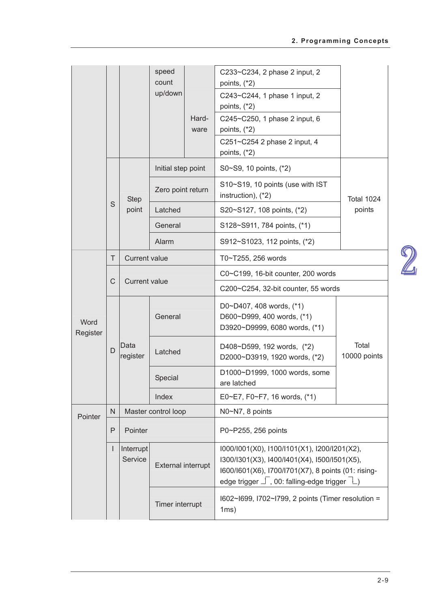|                  |        |                      | speed<br>count<br>up/down | Hard-<br>ware | C233~C234, 2 phase 2 input, 2<br>points, $(*2)$<br>C243~C244, 1 phase 1 input, 2<br>points, $(*2)$<br>C245~C250, 1 phase 2 input, 6<br>points, $(*2)$<br>C251~C254 2 phase 2 input, 4<br>points, $(*2)$        |                       |  |
|------------------|--------|----------------------|---------------------------|---------------|----------------------------------------------------------------------------------------------------------------------------------------------------------------------------------------------------------------|-----------------------|--|
|                  |        |                      | Initial step point        |               | S0~S9, 10 points, (*2)                                                                                                                                                                                         |                       |  |
|                  |        | <b>Step</b>          | Zero point return         |               | S10~S19, 10 points (use with IST<br>instruction), (*2)                                                                                                                                                         | <b>Total 1024</b>     |  |
|                  | S      | point                | Latched                   |               | S20~S127, 108 points, (*2)                                                                                                                                                                                     | points                |  |
|                  |        |                      | General                   |               | S128~S911, 784 points, (*1)                                                                                                                                                                                    |                       |  |
|                  |        |                      | Alarm                     |               | S912~S1023, 112 points, (*2)                                                                                                                                                                                   |                       |  |
|                  | $\top$ | <b>Current value</b> |                           |               | T0~T255, 256 words                                                                                                                                                                                             |                       |  |
|                  | C      | <b>Current value</b> |                           |               | C0~C199, 16-bit counter, 200 words                                                                                                                                                                             |                       |  |
|                  |        |                      |                           |               | C200~C254, 32-bit counter, 55 words                                                                                                                                                                            |                       |  |
| Word<br>Register |        |                      | General                   |               | D0~D407, 408 words, (*1)<br>D600~D999, 400 words, (*1)<br>D3920~D9999, 6080 words, (*1)                                                                                                                        |                       |  |
|                  | D      | Data<br>register     | Latched                   |               | D408~D599, 192 words, (*2)<br>D2000~D3919, 1920 words, (*2)                                                                                                                                                    | Total<br>10000 points |  |
|                  |        |                      | Special                   |               | D1000~D1999, 1000 words, some<br>are latched                                                                                                                                                                   |                       |  |
|                  |        |                      | Index                     |               | E0~E7, F0~F7, 16 words, (*1)                                                                                                                                                                                   |                       |  |
| Pointer          | N      |                      | Master control loop       |               | N0~N7, 8 points                                                                                                                                                                                                |                       |  |
|                  | P      | Pointer              |                           |               | P0~P255, 256 points                                                                                                                                                                                            |                       |  |
|                  |        | Interrupt<br>Service | External interrupt        |               | I000/I001(X0), I100/I101(X1), I200/I201(X2),<br>I300/I301(X3), I400/I401(X4), I500/I501(X5),<br>I600/I601(X6), I700/I701(X7), 8 points (01: rising-<br>edge trigger $\Box$ , 00: falling-edge trigger $\Box$ ) |                       |  |
|                  |        |                      | Timer interrupt           |               | I602~I699, I702~I799, 2 points (Timer resolution =<br>1ms)                                                                                                                                                     |                       |  |

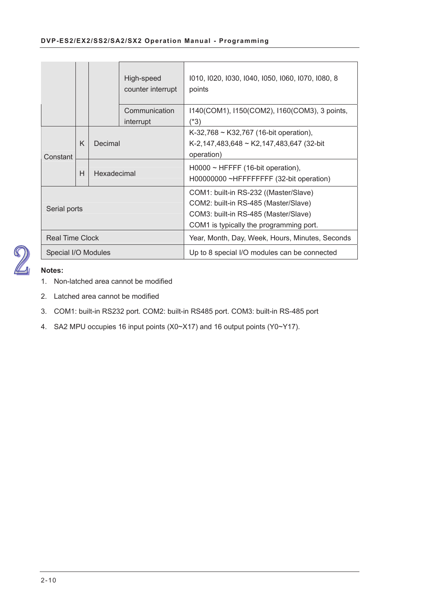|                        |              |             | High-speed<br>counter interrupt | 1010, 1020, 1030, 1040, 1050, 1060, 1070, 1080, 8<br>points                                                                                                      |
|------------------------|--------------|-------------|---------------------------------|------------------------------------------------------------------------------------------------------------------------------------------------------------------|
|                        |              |             | Communication<br>interrupt      | 1140(COM1), 1150(COM2), 1160(COM3), 3 points,<br>$(*3)$                                                                                                          |
| Constant               | K<br>Decimal |             |                                 | K-32,768 ~ K32,767 (16-bit operation),<br>K-2,147,483,648 ~ K2,147,483,647 (32-bit<br>operation)                                                                 |
|                        | H            | Hexadecimal |                                 | $H0000 \sim HFFFF$ (16-bit operation),<br>H00000000 ~HFFFFFFFF (32-bit operation)                                                                                |
| Serial ports           |              |             |                                 | COM1: built-in RS-232 ((Master/Slave)<br>COM2: built-in RS-485 (Master/Slave)<br>COM3: built-in RS-485 (Master/Slave)<br>COM1 is typically the programming port. |
| <b>Real Time Clock</b> |              |             |                                 | Year, Month, Day, Week, Hours, Minutes, Seconds                                                                                                                  |
| Special I/O Modules    |              |             |                                 | Up to 8 special I/O modules can be connected                                                                                                                     |



- 1. Non-latched area cannot be modified
- 2. Latched area cannot be modified
- COM1: built-in RS232 port. COM2: built-in RS485 port. COM3: built-in RS-485 port
- SA2 MPU occupies 16 input points (X0~X17) and 16 output points (Y0~Y17).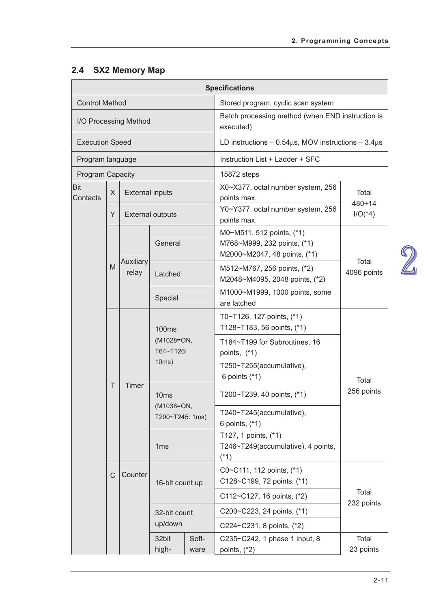## **2.4 SX2 Memory Map**

|                         |        |                        |                                                   |               | <b>Specifications</b>                                                                    |                      |  |
|-------------------------|--------|------------------------|---------------------------------------------------|---------------|------------------------------------------------------------------------------------------|----------------------|--|
| <b>Control Method</b>   |        |                        |                                                   |               | Stored program, cyclic scan system                                                       |                      |  |
| I/O Processing Method   |        |                        |                                                   |               | Batch processing method (when END instruction is<br>executed)                            |                      |  |
| <b>Execution Speed</b>  |        |                        |                                                   |               | LD instructions $-0.54\mu s$ , MOV instructions $-3.4\mu s$                              |                      |  |
| Program language        |        |                        |                                                   |               | Instruction List + Ladder + SFC                                                          |                      |  |
| <b>Program Capacity</b> |        |                        |                                                   |               | 15872 steps                                                                              |                      |  |
| <b>Bit</b><br>Contacts  | X      | <b>External inputs</b> |                                                   |               | X0~X377, octal number system, 256<br>points max.                                         | Total<br>$480 + 14$  |  |
|                         | Y      |                        | <b>External outputs</b>                           |               | Y0~Y377, octal number system, 256<br>points max.                                         | $I/O(*4)$            |  |
|                         |        |                        | General                                           |               | M0~M511, 512 points, (*1)<br>M768~M999, 232 points, (*1)<br>M2000~M2047, 48 points, (*1) |                      |  |
|                         | M      | Auxiliary<br>relay     | Latched                                           |               | M512~M767, 256 points, (*2)<br>M2048~M4095, 2048 points, (*2)                            | Total<br>4096 points |  |
|                         |        |                        | Special                                           |               | M1000~M1999, 1000 points, some<br>are latched                                            |                      |  |
|                         |        | Timer                  | 100 <sub>ms</sub>                                 |               | T0~T126, 127 points, (*1)<br>T128~T183, 56 points, (*1)                                  |                      |  |
|                         |        |                        | (M1028=ON,<br>T64~T126:                           |               | T184~T199 for Subroutines, 16<br>points, (*1)                                            |                      |  |
|                         |        |                        | 10ms)                                             |               | T250~T255(accumulative),<br>6 points $(*1)$                                              | Total                |  |
|                         | $\top$ |                        | 10 <sub>ms</sub><br>(M1038=ON,<br>T200~T245: 1ms) |               | T200~T239, 40 points, (*1)                                                               | 256 points           |  |
|                         |        |                        |                                                   |               | T240~T245(accumulative),<br>6 points, (*1)                                               |                      |  |
|                         |        |                        | 1ms                                               |               | T127, 1 points, (*1)<br>T246~T249(accumulative), 4 points,<br>$(*1)$                     |                      |  |
|                         | C      | Counter                | 16-bit count up                                   |               | C0~C111, 112 points, (*1)<br>C128~C199, 72 points, (*1)                                  | Total                |  |
|                         |        |                        |                                                   |               | C112~C127, 16 points, (*2)                                                               |                      |  |
|                         |        |                        | 32-bit count                                      |               | C200~C223, 24 points, (*1)                                                               | 232 points           |  |
|                         |        |                        | up/down                                           |               | C224~C231, 8 points, (*2)                                                                |                      |  |
|                         |        |                        | 32bit<br>high-                                    | Soft-<br>ware | C235~C242, 1 phase 1 input, 8<br>points, $(*2)$                                          | Total<br>23 points   |  |

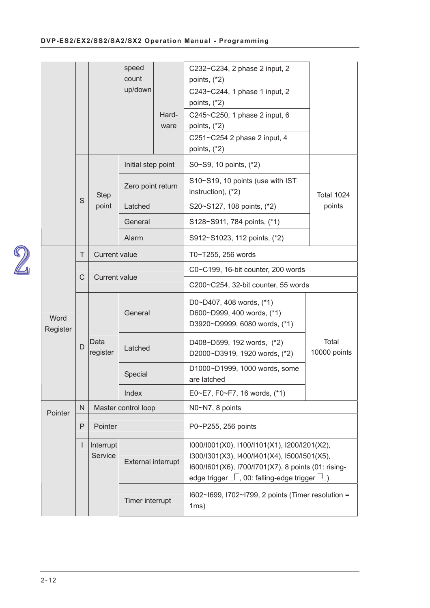|                  |              |                      | speed<br>count<br>up/down | Hard-<br>ware | C232~C234, 2 phase 2 input, 2<br>points, $(*2)$<br>C243~C244, 1 phase 1 input, 2<br>points, $(*2)$<br>C245~C250, 1 phase 2 input, 6<br>points, $(*2)$<br>C251~C254 2 phase 2 input, 4<br>points, $(*2)$        |                       |
|------------------|--------------|----------------------|---------------------------|---------------|----------------------------------------------------------------------------------------------------------------------------------------------------------------------------------------------------------------|-----------------------|
|                  |              |                      | Initial step point        |               | S0~S9, 10 points, (*2)                                                                                                                                                                                         |                       |
|                  |              | <b>Step</b>          | Zero point return         |               | S10~S19, 10 points (use with IST<br>instruction), (*2)                                                                                                                                                         | Total 1024            |
|                  | S            | point                | Latched                   |               | S20~S127, 108 points, (*2)                                                                                                                                                                                     | points                |
|                  |              |                      | General                   |               | S128~S911, 784 points, (*1)                                                                                                                                                                                    |                       |
|                  |              |                      | Alarm                     |               | S912~S1023, 112 points, (*2)                                                                                                                                                                                   |                       |
|                  | Τ            | <b>Current value</b> |                           |               | T0~T255, 256 words                                                                                                                                                                                             |                       |
|                  | $\mathsf C$  |                      | <b>Current value</b>      |               | C0~C199, 16-bit counter, 200 words                                                                                                                                                                             |                       |
|                  |              |                      |                           |               | C200~C254, 32-bit counter, 55 words                                                                                                                                                                            |                       |
| Word<br>Register |              |                      | General                   |               | D0~D407, 408 words, (*1)<br>D600~D999, 400 words, (*1)<br>D3920~D9999, 6080 words, (*1)                                                                                                                        |                       |
|                  | D            | Data<br>register     | Latched                   |               | D408~D599, 192 words, (*2)<br>D2000~D3919, 1920 words, (*2)                                                                                                                                                    | Total<br>10000 points |
|                  |              |                      | Special                   |               | D1000~D1999, 1000 words, some<br>are latched                                                                                                                                                                   |                       |
|                  |              |                      | Index                     |               | E0~E7, F0~F7, 16 words, (*1)                                                                                                                                                                                   |                       |
| Pointer          | ${\sf N}$    |                      | Master control loop       |               | N0~N7, 8 points                                                                                                                                                                                                |                       |
|                  | P            | Pointer              |                           |               | P0~P255, 256 points                                                                                                                                                                                            |                       |
|                  | $\mathbf{I}$ | Interrupt<br>Service | <b>External interrupt</b> |               | I000/I001(X0), I100/I101(X1), I200/I201(X2),<br>I300/I301(X3), I400/I401(X4), I500/I501(X5),<br>I600/I601(X6), I700/I701(X7), 8 points (01: rising-<br>edge trigger $\Box$ , 00: falling-edge trigger $\Box$ ) |                       |
|                  |              |                      | Timer interrupt           |               | I602~I699, I702~I799, 2 points (Timer resolution =<br>1ms)                                                                                                                                                     |                       |